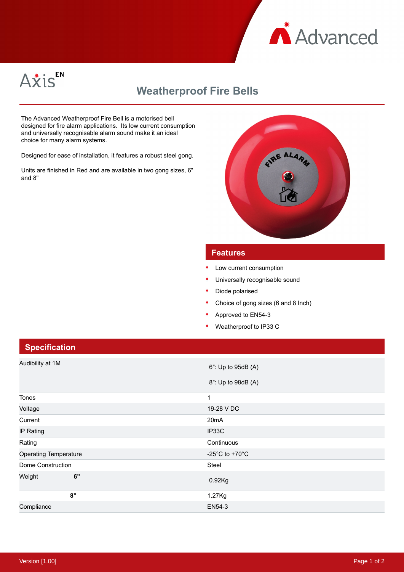



## **Weatherproof Fire Bells**

The Advanced Weatherproof Fire Bell is a motorised bell designed for fire alarm applications. Its low current consumption and universally recognisable alarm sound make it an ideal choice for many alarm systems.

Designed for ease of installation, it features a robust steel gong.

Units are finished in Red and are available in two gong sizes, 6" and 8"



## **Features**

- Low current consumption
- Universally recognisable sound
- Diode polarised
- Choice of gong sizes (6 and 8 Inch)
- Approved to EN54-3
- Weatherproof to IP33 C

## **Specification**

| Audibility at 1M             | 6": Up to 95dB (A)<br>8": Up to 98dB (A) |
|------------------------------|------------------------------------------|
| Tones                        | 1                                        |
| Voltage                      | 19-28 V DC                               |
| Current                      | 20 <sub>m</sub> A                        |
| IP Rating                    | IP33C                                    |
| Rating                       | Continuous                               |
| <b>Operating Temperature</b> | -25 $^{\circ}$ C to +70 $^{\circ}$ C     |
| Dome Construction            | Steel                                    |
| 6"<br>Weight                 | 0.92Kg                                   |
| 8"                           | 1.27Kg                                   |
| Compliance                   | EN54-3                                   |